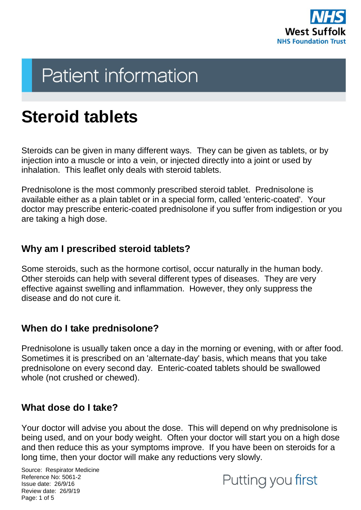

# **Patient information**

## **Steroid tablets**

Steroids can be given in many different ways. They can be given as tablets, or by injection into a muscle or into a vein, or injected directly into a joint or used by inhalation. This leaflet only deals with steroid tablets.

Prednisolone is the most commonly prescribed steroid tablet. Prednisolone is available either as a plain tablet or in a special form, called 'enteric-coated'. Your doctor may prescribe enteric-coated prednisolone if you suffer from indigestion or you are taking a high dose.

#### **Why am I prescribed steroid tablets?**

Some steroids, such as the hormone cortisol, occur naturally in the human body. Other steroids can help with several different types of diseases. They are very effective against swelling and inflammation. However, they only suppress the disease and do not cure it.

### **When do I take prednisolone?**

Prednisolone is usually taken once a day in the morning or evening, with or after food. Sometimes it is prescribed on an 'alternate-day' basis, which means that you take prednisolone on every second day. Enteric-coated tablets should be swallowed whole (not crushed or chewed).

#### **What dose do I take?**

Your doctor will advise you about the dose. This will depend on why prednisolone is being used, and on your body weight. Often your doctor will start you on a high dose and then reduce this as your symptoms improve. If you have been on steroids for a long time, then your doctor will make any reductions very slowly.

Source: Respirator Medicine Reference No: 5061-2 Issue date: 26/9/16 Review date: 26/9/19 Page: 1 of 5

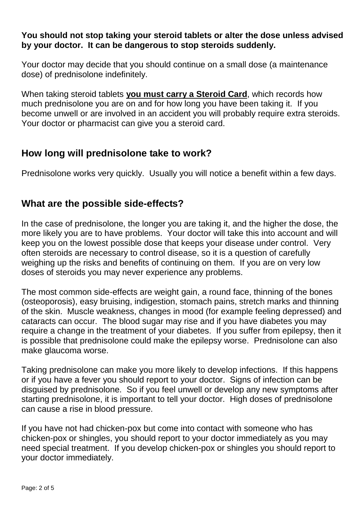#### **You should not stop taking your steroid tablets or alter the dose unless advised by your doctor. It can be dangerous to stop steroids suddenly.**

Your doctor may decide that you should continue on a small dose (a maintenance dose) of prednisolone indefinitely.

When taking steroid tablets **you must carry a Steroid Card**, which records how much prednisolone you are on and for how long you have been taking it. If you become unwell or are involved in an accident you will probably require extra steroids. Your doctor or pharmacist can give you a steroid card.

#### **How long will prednisolone take to work?**

Prednisolone works very quickly. Usually you will notice a benefit within a few days.

#### **What are the possible side-effects?**

In the case of prednisolone, the longer you are taking it, and the higher the dose, the more likely you are to have problems. Your doctor will take this into account and will keep you on the lowest possible dose that keeps your disease under control. Very often steroids are necessary to control disease, so it is a question of carefully weighing up the risks and benefits of continuing on them. If you are on very low doses of steroids you may never experience any problems.

The most common side-effects are weight gain, a round face, thinning of the bones (osteoporosis), easy bruising, indigestion, stomach pains, stretch marks and thinning of the skin. Muscle weakness, changes in mood (for example feeling depressed) and cataracts can occur. The blood sugar may rise and if you have diabetes you may require a change in the treatment of your diabetes. If you suffer from epilepsy, then it is possible that prednisolone could make the epilepsy worse. Prednisolone can also make glaucoma worse.

Taking prednisolone can make you more likely to develop infections. If this happens or if you have a fever you should report to your doctor. Signs of infection can be disguised by prednisolone. So if you feel unwell or develop any new symptoms after starting prednisolone, it is important to tell your doctor. High doses of prednisolone can cause a rise in blood pressure.

If you have not had chicken-pox but come into contact with someone who has chicken-pox or shingles, you should report to your doctor immediately as you may need special treatment. If you develop chicken-pox or shingles you should report to your doctor immediately.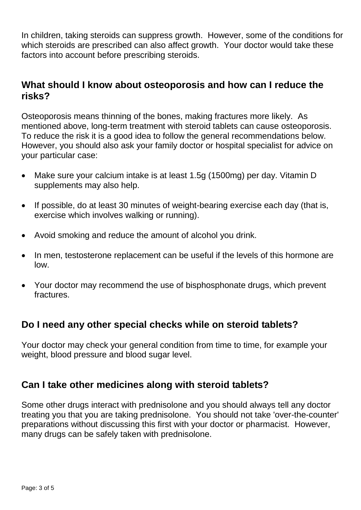In children, taking steroids can suppress growth. However, some of the conditions for which steroids are prescribed can also affect growth. Your doctor would take these factors into account before prescribing steroids.

#### **What should I know about osteoporosis and how can I reduce the risks?**

Osteoporosis means thinning of the bones, making fractures more likely. As mentioned above, long-term treatment with steroid tablets can cause osteoporosis. To reduce the risk it is a good idea to follow the general recommendations below. However, you should also ask your family doctor or hospital specialist for advice on your particular case:

- Make sure your calcium intake is at least 1.5g (1500mg) per day. Vitamin D supplements may also help.
- If possible, do at least 30 minutes of weight-bearing exercise each day (that is, exercise which involves walking or running).
- Avoid smoking and reduce the amount of alcohol you drink.
- In men, testosterone replacement can be useful if the levels of this hormone are low.
- Your doctor may recommend the use of bisphosphonate drugs, which prevent fractures.

### **Do I need any other special checks while on steroid tablets?**

Your doctor may check your general condition from time to time, for example your weight, blood pressure and blood sugar level.

### **Can I take other medicines along with steroid tablets?**

Some other drugs interact with prednisolone and you should always tell any doctor treating you that you are taking prednisolone. You should not take 'over-the-counter' preparations without discussing this first with your doctor or pharmacist. However, many drugs can be safely taken with prednisolone.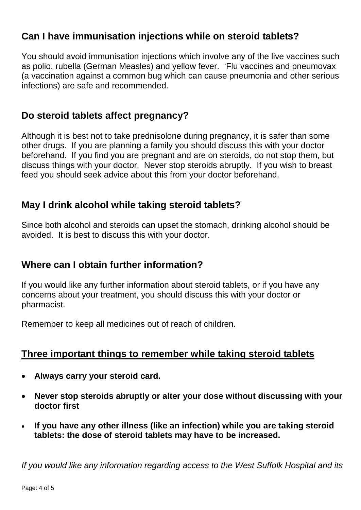### **Can I have immunisation injections while on steroid tablets?**

You should avoid immunisation injections which involve any of the live vaccines such as polio, rubella (German Measles) and yellow fever. 'Flu vaccines and pneumovax (a vaccination against a common bug which can cause pneumonia and other serious infections) are safe and recommended.

#### **Do steroid tablets affect pregnancy?**

Although it is best not to take prednisolone during pregnancy, it is safer than some other drugs. If you are planning a family you should discuss this with your doctor beforehand. If you find you are pregnant and are on steroids, do not stop them, but discuss things with your doctor. Never stop steroids abruptly. If you wish to breast feed you should seek advice about this from your doctor beforehand.

#### **May I drink alcohol while taking steroid tablets?**

Since both alcohol and steroids can upset the stomach, drinking alcohol should be avoided. It is best to discuss this with your doctor.

### **Where can I obtain further information?**

If you would like any further information about steroid tablets, or if you have any concerns about your treatment, you should discuss this with your doctor or pharmacist.

Remember to keep all medicines out of reach of children.

#### **Three important things to remember while taking steroid tablets**

- **Always carry your steroid card.**
- **Never stop steroids abruptly or alter your dose without discussing with your doctor first**
- **If you have any other illness (like an infection) while you are taking steroid tablets: the dose of steroid tablets may have to be increased.**

*If you would like any information regarding access to the West Suffolk Hospital and its*